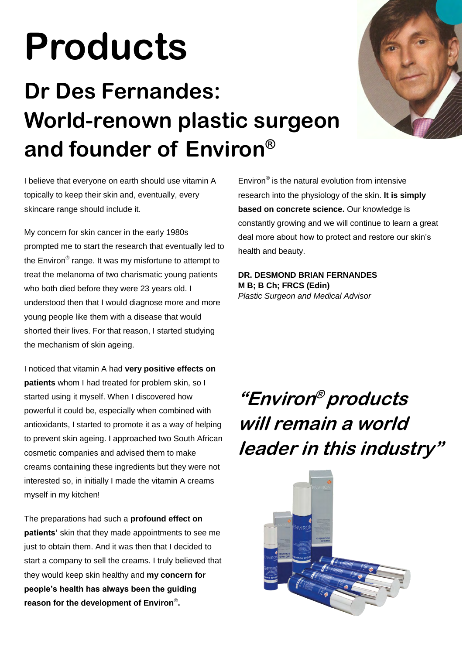# **Products**

## **Dr Des Fernandes: World-renown plastic surgeon and founder of Environ®**



I believe that everyone on earth should use vitamin A topically to keep their skin and, eventually, every skincare range should include it.

My concern for skin cancer in the early 1980s prompted me to start the research that eventually led to the Environ® range. It was my misfortune to attempt to treat the melanoma of two charismatic young patients who both died before they were 23 years old. I understood then that I would diagnose more and more young people like them with a disease that would shorted their lives. For that reason, I started studying the mechanism of skin ageing.

I noticed that vitamin A had **very positive effects on patients** whom I had treated for problem skin, so I started using it myself. When I discovered how powerful it could be, especially when combined with antioxidants, I started to promote it as a way of helping to prevent skin ageing. I approached two South African cosmetic companies and advised them to make creams containing these ingredients but they were not interested so, in initially I made the vitamin A creams myself in my kitchen!

The preparations had such a **profound effect on patients'** skin that they made appointments to see me just to obtain them. And it was then that I decided to start a company to sell the creams. I truly believed that they would keep skin healthy and **my concern for people's health has always been the guiding reason for the development of Environ**® **.** 

Environ® is the natural evolution from intensive research into the physiology of the skin. **It is simply based on concrete science.** Our knowledge is constantly growing and we will continue to learn a great deal more about how to protect and restore our skin's health and beauty.

**DR. DESMOND BRIAN FERNANDES M B; B Ch; FRCS (Edin)**  *Plastic Surgeon and Medical Advisor* 

## **"Environ ® products will remain a world leader in this industry"**

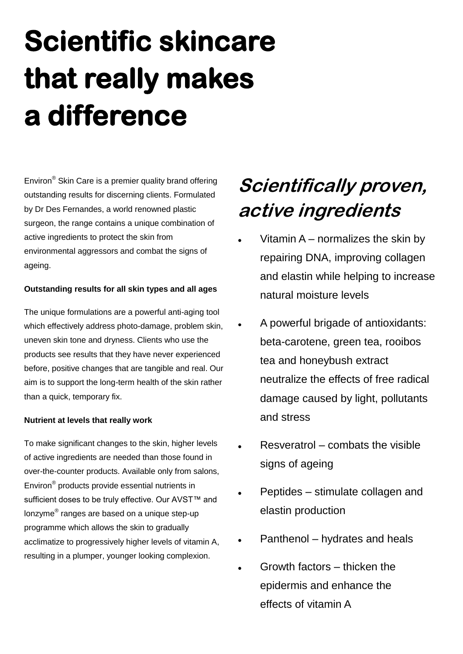## **Scientific skincare that really makes a difference**

Environ<sup>®</sup> Skin Care is a premier quality brand offering outstanding results for discerning clients. Formulated by Dr Des Fernandes, a world renowned plastic surgeon, the range contains a unique combination of active ingredients to protect the skin from environmental aggressors and combat the signs of ageing.

### **Outstanding results for all skin types and all ages**

The unique formulations are a powerful anti-aging tool which effectively address photo-damage, problem skin, uneven skin tone and dryness. Clients who use the products see results that they have never experienced before, positive changes that are tangible and real. Our aim is to support the long-term health of the skin rather than a quick, temporary fix.

#### **Nutrient at levels that really work**

To make significant changes to the skin, higher levels of active ingredients are needed than those found in over-the-counter products. Available only from salons, Environ® products provide essential nutrients in sufficient doses to be truly effective. Our AVST™ and lonzyme® ranges are based on a unique step-up programme which allows the skin to gradually acclimatize to progressively higher levels of vitamin A, resulting in a plumper, younger looking complexion.

### **Scientifically proven, active ingredients**

- Vitamin A normalizes the skin by repairing DNA, improving collagen and elastin while helping to increase natural moisture levels
- A powerful brigade of antioxidants: beta-carotene, green tea, rooibos tea and honeybush extract neutralize the effects of free radical damage caused by light, pollutants and stress
- Resveratrol combats the visible signs of ageing
- Peptides stimulate collagen and elastin production
- Panthenol hydrates and heals
- Growth factors thicken the epidermis and enhance the effects of vitamin A